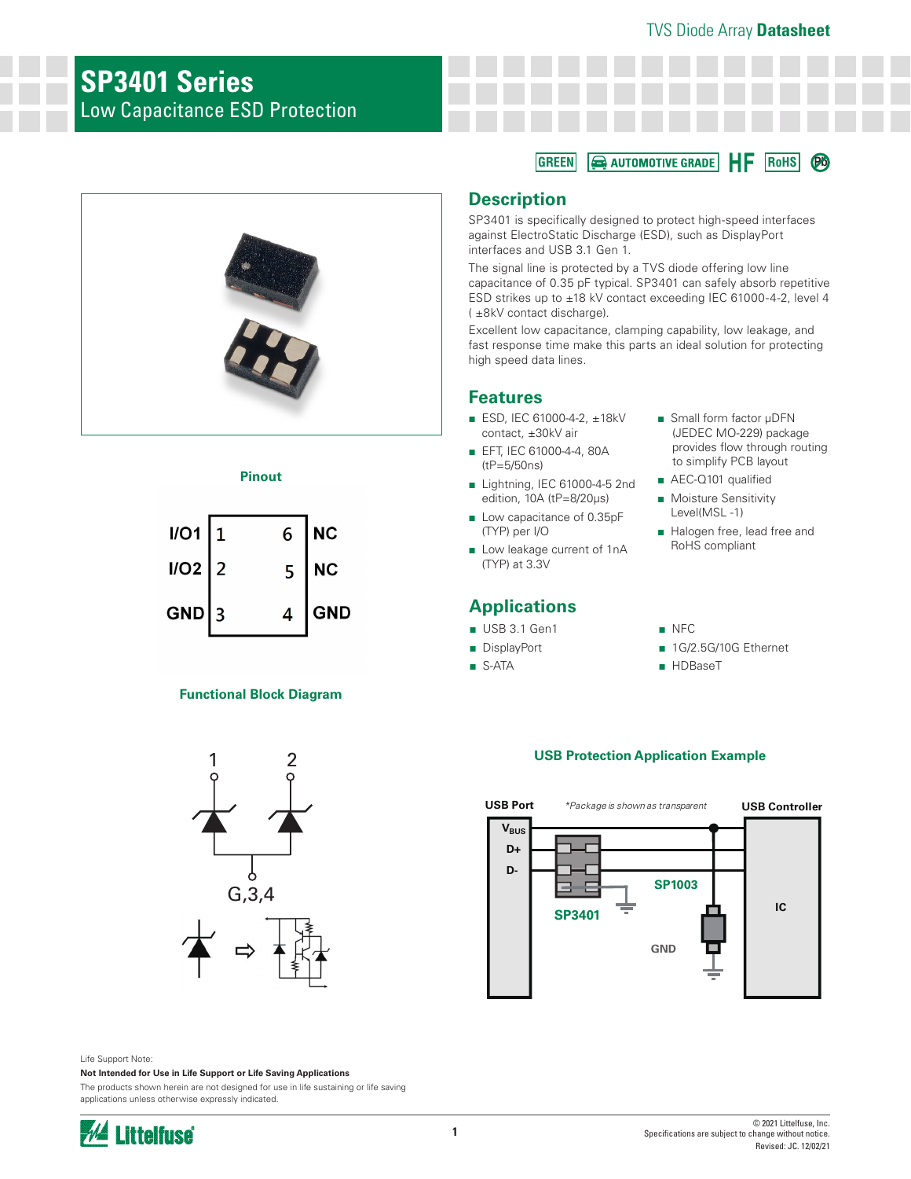HF

**RoHS Pb**

# **SP3401 Series** Low Capacitance ESD Protection



#### **Pinout**

| $I/O1$   1 | 6 | $\overline{\phantom{a}}$ NC |
|------------|---|-----------------------------|
| $I/O2$ 2   | 5 | $\overline{\phantom{a}}$ NC |
| $GND$ 3    | 4 | <b>GND</b>                  |

### **Functional Block Diagram**



# **Description**

**GREEN**

SP3401 is specifically designed to protect high-speed interfaces against ElectroStatic Discharge (ESD), such as DisplayPort interfaces and USB 3.1 Gen 1.

AUTOMOTIVE GRADE

The signal line is protected by a TVS diode offering low line capacitance of 0.35 pF typical. SP3401 can safely absorb repetitive ESD strikes up to ±18 kV contact exceeding IEC 61000-4-2, level 4 ( ±8kV contact discharge).

Excellent low capacitance, clamping capability, low leakage, and fast response time make this parts an ideal solution for protecting high speed data lines.

## **Features**

- ESD, IEC 61000-4-2, ±18kV contact, ±30kV air
- EFT, IEC 61000-4-4, 80A (tP=5/50ns)
- Lightning, IEC 61000-4-5 2nd edition, 10A (tP=8/20μs)
- Low capacitance of 0.35pF (TYP) per I/O
- Low leakage current of 1nA (TYP) at 3.3V

# **Applications**

- USB 3.1 Gen1
- DisplayPort
- S-ATA
- Small form factor µDFN (JEDEC MO-229) package provides flow through routing to simplify PCB layout
- AEC-Q101 qualified
- Moisture Sensitivity Level(MSL -1)
- Halogen free, lead free and RoHS compliant

#### ■ NFC

- 1G/2.5G/10G Ethernet
- HDBaseT

### **USB Protection Application Example**



Life Support Note:

**Not Intended for Use in Life Support or Life Saving Applications**

The products shown herein are not designed for use in life sustaining or life saving applications unless otherwise expressly indicated.

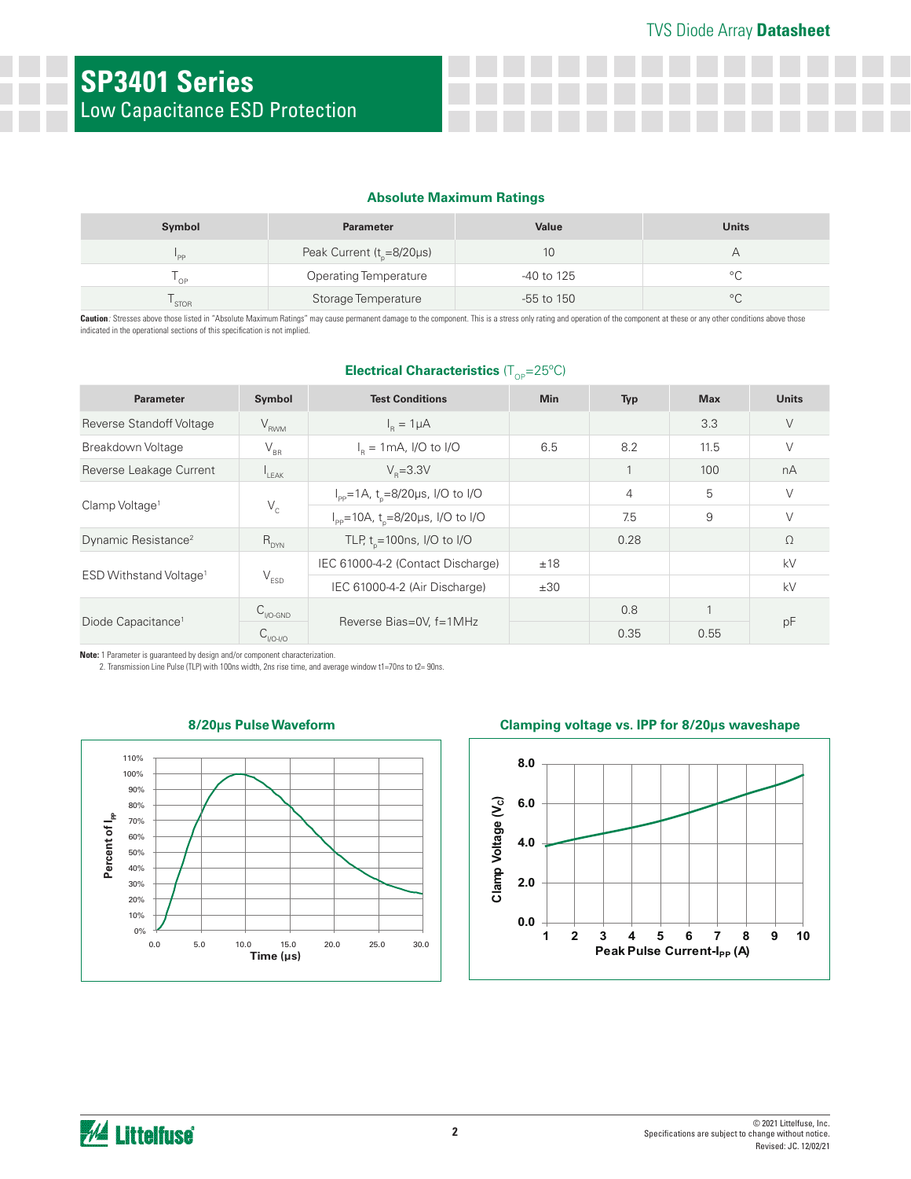#### **Absolute Maximum Ratings**

| Symbol      | <b>Parameter</b>                | <b>Value</b> | <b>Units</b> |
|-------------|---------------------------------|--------------|--------------|
| "PP         | Peak Current ( $t_{p}$ =8/20µs) | 10           |              |
| OP          | <b>Operating Temperature</b>    | -40 to 125   |              |
| <b>STOR</b> | Storage Temperature             | $-55$ to 150 |              |

Caution: Stresses above those listed in "Absolute Maximum Ratings" may cause permanent damage to the component. This is a stress only rating and operation of the component at these or any other conditions above those indicated in the operational sections of this specification is not implied.

#### **Electrical Characteristics** (T<sub>OP</sub>=25°C)

| <b>Parameter</b>                   | Symbol                      | <b>Test Conditions</b>                                            | <b>Min</b> | Typ  | <b>Max</b> | <b>Units</b> |
|------------------------------------|-----------------------------|-------------------------------------------------------------------|------------|------|------------|--------------|
| Reverse Standoff Voltage           | $V_{RWM}$                   | $I_R = 1 \mu A$                                                   |            |      | 3.3        | $\vee$       |
| Breakdown Voltage                  | $\rm V_{_{BR}}$             | $I_p = 1 \text{mA}$ , I/O to I/O                                  | 6.5        | 8.2  | 11.5       | $\vee$       |
| Reverse Leakage Current            | $L_{\text{EAK}}$            | $V_{p} = 3.3V$                                                    |            |      | 100        | nA           |
| Clamp Voltage <sup>1</sup>         | $\mathsf{V}_{\rm c}$        | $I_{\text{pp}} = 1 \text{A}$ , t <sub>p</sub> =8/20µs, I/O to I/O |            | 4    | 5          | V            |
|                                    |                             | $I_{\text{pp}}$ =10A, t <sub>n</sub> =8/20µs, I/O to I/O          |            | 7.5  | 9          | $\vee$       |
| Dynamic Resistance <sup>2</sup>    | $R_{DYN}$                   | TLP, $t_{0} = 100$ ns, I/O to I/O                                 |            | 0.28 |            | $\Omega$     |
| ESD Withstand Voltage <sup>1</sup> | $\mathsf{V}_{\mathsf{ESD}}$ | IEC 61000-4-2 (Contact Discharge)                                 | ±18        |      |            | kV           |
|                                    |                             | IEC 61000-4-2 (Air Discharge)                                     | ±30        |      |            | kV           |
| Diode Capacitance <sup>1</sup>     | $C_{\text{I/O-GND}}$        |                                                                   |            | 0.8  |            | pF           |
|                                    | $C_{VO-VO}$                 | Reverse Bias=0V, f=1MHz                                           |            | 0.35 | 0.55       |              |

**Note:** 1 Parameter is guaranteed by design and/or component characterization.

2. Transmission Line Pulse (TLP) with 100ns width, 2ns rise time, and average window t1=70ns to t2= 90ns.



#### **8/20μs Pulse Waveform**

### **Clamping voltage vs. IPP for 8/20μs waveshape**

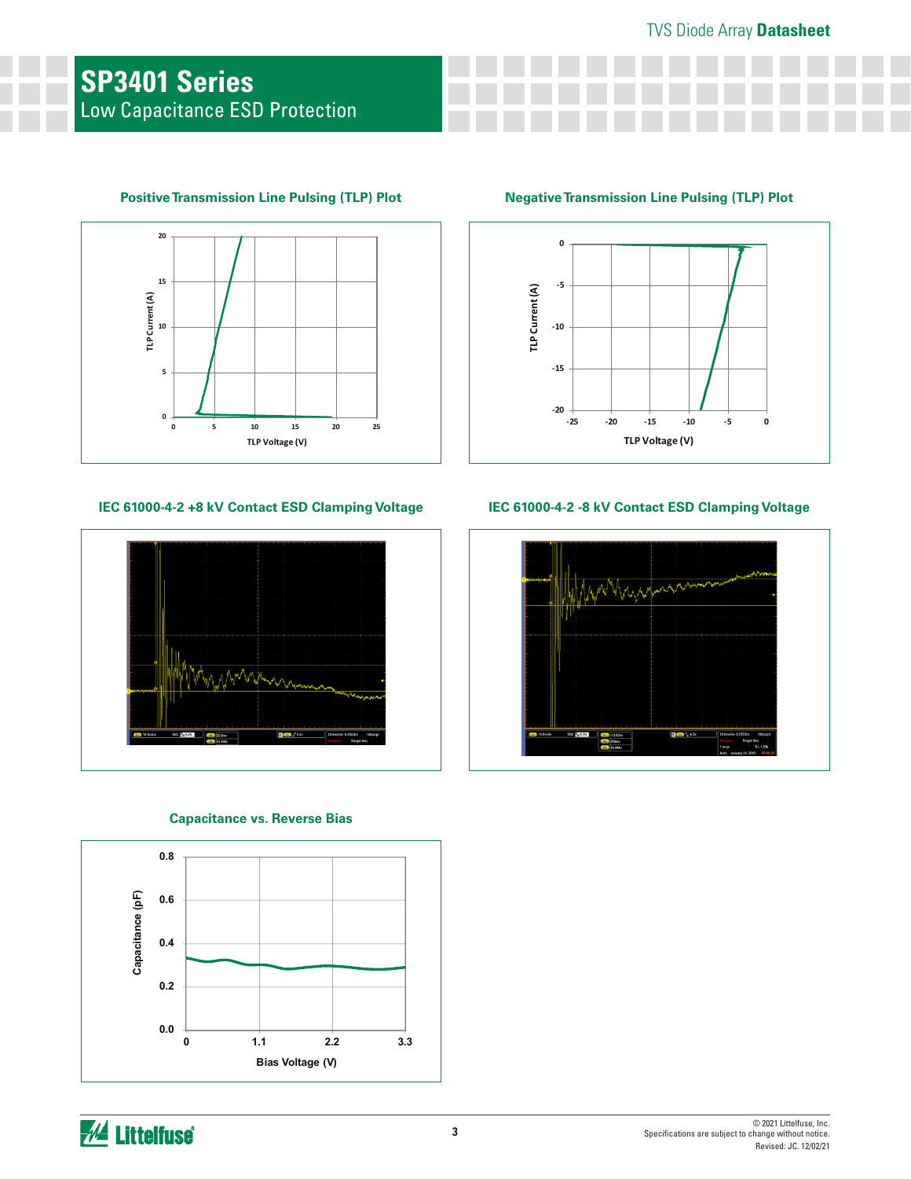

## **Positive Transmission Line Pulsing (TLP) Plot Negative Transmission Line Pulsing (TLP) Plot**

#### **IEC 61000-4-2 +8 kV Contact ESD Clamping Voltage IEC 61000-4-2 -8 kV Contact ESD Clamping Voltage**



#### **Capacitance vs. Reverse Bias**





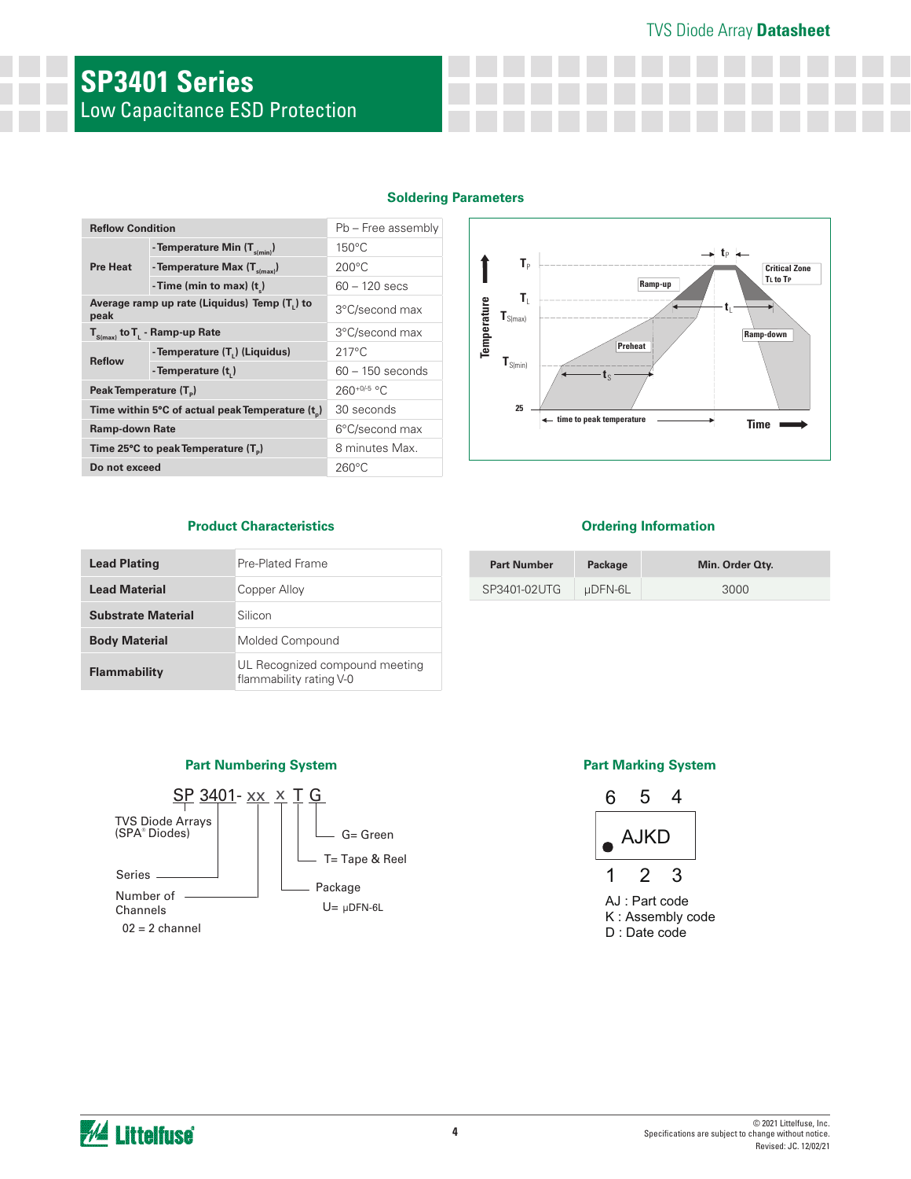# TVS Diode Array **Datasheet**

# **SP3401 Series** Low Capacitance ESD Protection

#### **Soldering Parameters**

| <b>Reflow Condition</b>                              |                                            | Pb - Free assembly |                                                   |                                    |  |
|------------------------------------------------------|--------------------------------------------|--------------------|---------------------------------------------------|------------------------------------|--|
|                                                      | - Temperature Min $(T_{s(min)})$           | $150^{\circ}$ C    |                                                   |                                    |  |
| <b>Pre Heat</b>                                      | - Temperature Max $(T_{\text{s(max)}})$    | $200^{\circ}$ C    | $T_{P}$                                           | C                                  |  |
|                                                      | - Time (min to max) $(t)$                  | $60 - 120$ secs    |                                                   | Τı<br>Ramp-up                      |  |
| Average ramp up rate (Liquidus) Temp (T,) to<br>peak |                                            | 3°C/second max     | T,<br>Temperature<br>$\textbf{T}_{\text{S(max)}}$ | τ                                  |  |
| $T_{S(max)}$ to $T_{L}$ - Ramp-up Rate               |                                            | 3°C/second max     |                                                   | Ramp-d                             |  |
|                                                      | - Temperature (T <sub>1</sub> ) (Liquidus) | $217^{\circ}$ C    |                                                   | Preheat                            |  |
| <b>Reflow</b>                                        | - Temperature (t,)                         | $60 - 150$ seconds | $\textbf{T}_{\text{S(min)}}$                      | լշ                                 |  |
| Peak Temperature (T <sub>a</sub> )                   |                                            | $260+0/5$ °C       |                                                   |                                    |  |
| Time within 5°C of actual peak Temperature (t)       |                                            | 30 seconds         | 25                                                |                                    |  |
| <b>Ramp-down Rate</b>                                |                                            | 6°C/second max     |                                                   | ← time to peak temperature<br>Time |  |
| Time 25°C to peak Temperature (T <sub>n</sub> )      |                                            | 8 minutes Max.     |                                                   |                                    |  |
| Do not exceed                                        |                                            | $260^{\circ}$ C    |                                                   |                                    |  |



#### **Product Characteristics Construction Ordering Information**

| <b>Lead Plating</b>       | Pre-Plated Frame                                          |
|---------------------------|-----------------------------------------------------------|
| <b>Lead Material</b>      | Copper Alloy                                              |
| <b>Substrate Material</b> | Silicon                                                   |
| <b>Body Material</b>      | Molded Compound                                           |
| <b>Flammability</b>       | UL Recognized compound meeting<br>flammability rating V-0 |

| <b>Part Number</b> | Package | Min. Order Qty. |
|--------------------|---------|-----------------|
| SP3401-02UTG       | uDFN-6L | 3000            |

### **Part Numbering System Part Marking System**





AJ : Part code K : Assembly code D : Date code